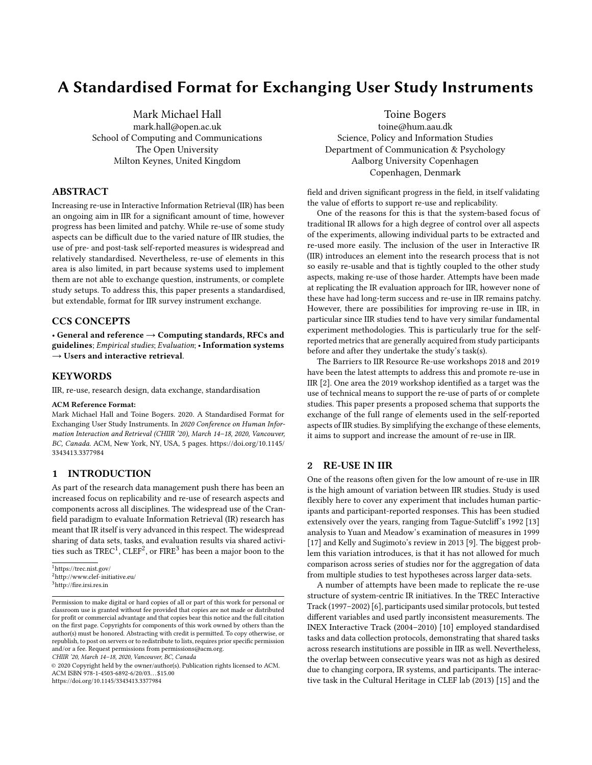# A Standardised Format for Exchanging User Study Instruments

Mark Michael Hall mark.hall@open.ac.uk School of Computing and Communications The Open University Milton Keynes, United Kingdom

# ABSTRACT

Increasing re-use in Interactive Information Retrieval (IIR) has been an ongoing aim in IIR for a significant amount of time, however progress has been limited and patchy. While re-use of some study aspects can be difficult due to the varied nature of IIR studies, the use of pre- and post-task self-reported measures is widespread and relatively standardised. Nevertheless, re-use of elements in this area is also limited, in part because systems used to implement them are not able to exchange question, instruments, or complete study setups. To address this, this paper presents a standardised, but extendable, format for IIR survey instrument exchange.

#### CCS CONCEPTS

• General and reference  $\rightarrow$  Computing standards, RFCs and guidelines; Empirical studies; Evaluation; • Information systems  $\rightarrow$  Users and interactive retrieval.

### **KEYWORDS**

IIR, re-use, research design, data exchange, standardisation

#### ACM Reference Format:

Mark Michael Hall and Toine Bogers. 2020. A Standardised Format for Exchanging User Study Instruments. In 2020 Conference on Human Information Interaction and Retrieval (CHIIR '20), March 14–18, 2020, Vancouver, BC, Canada. ACM, New York, NY, USA, [5](#page-4-0) pages. [https://doi.org/10.1145/](https://doi.org/10.1145/3343413.3377984) [3343413.3377984](https://doi.org/10.1145/3343413.3377984)

#### 1 INTRODUCTION

As part of the research data management push there has been an increased focus on replicability and re-use of research aspects and components across all disciplines. The widespread use of the Cranfield paradigm to evaluate Information Retrieval (IR) research has meant that IR itself is very advanced in this respect. The widespread sharing of data sets, tasks, and evaluation results via shared activities such as  $\mathrm{TREC^1}, \mathrm{CLEF^2},$  $\mathrm{TREC^1}, \mathrm{CLEF^2},$  $\mathrm{TREC^1}, \mathrm{CLEF^2},$  $\mathrm{TREC^1}, \mathrm{CLEF^2},$  $\mathrm{TREC^1}, \mathrm{CLEF^2},$  or  $\mathrm{FIRE^3}$  $\mathrm{FIRE^3}$  $\mathrm{FIRE^3}$  has been a major boon to the

<span id="page-0-0"></span><sup>1</sup><https://trec.nist.gov/>

CHIIR '20, March 14–18, 2020, Vancouver, BC, Canada

Toine Bogers

toine@hum.aau.dk Science, Policy and Information Studies Department of Communication & Psychology Aalborg University Copenhagen Copenhagen, Denmark

field and driven significant progress in the field, in itself validating the value of efforts to support re-use and replicability.

One of the reasons for this is that the system-based focus of traditional IR allows for a high degree of control over all aspects of the experiments, allowing individual parts to be extracted and re-used more easily. The inclusion of the user in Interactive IR (IIR) introduces an element into the research process that is not so easily re-usable and that is tightly coupled to the other study aspects, making re-use of those harder. Attempts have been made at replicating the IR evaluation approach for IIR, however none of these have had long-term success and re-use in IIR remains patchy. However, there are possibilities for improving re-use in IIR, in particular since IIR studies tend to have very similar fundamental experiment methodologies. This is particularly true for the selfreported metrics that are generally acquired from study participants before and after they undertake the study's task(s).

The Barriers to IIR Resource Re-use workshops 2018 and 2019 have been the latest attempts to address this and promote re-use in IIR [\[2\]](#page-4-1). One area the 2019 workshop identified as a target was the use of technical means to support the re-use of parts of or complete studies. This paper presents a proposed schema that supports the exchange of the full range of elements used in the self-reported aspects of IIR studies. By simplifying the exchange of these elements, it aims to support and increase the amount of re-use in IIR.

# 2 RE-USE IN IIR

One of the reasons often given for the low amount of re-use in IIR is the high amount of variation between IIR studies. Study is used flexibly here to cover any experiment that includes human participants and participant-reported responses. This has been studied extensively over the years, ranging from Tague-Sutcliff's 1992 [\[13\]](#page-4-2) analysis to Yuan and Meadow's examination of measures in 1999 [\[17\]](#page-4-3) and Kelly and Sugimoto's review in 2013 [\[9\]](#page-4-4). The biggest problem this variation introduces, is that it has not allowed for much comparison across series of studies nor for the aggregation of data from multiple studies to test hypotheses across larger data-sets.

A number of attempts have been made to replicate the re-use structure of system-centric IR initiatives. In the TREC Interactive Track (1997–2002) [\[6\]](#page-4-5), participants used similar protocols, but tested different variables and used partly inconsistent measurements. The INEX Interactive Track (2004–2010) [\[10\]](#page-4-6) employed standardised tasks and data collection protocols, demonstrating that shared tasks across research institutions are possible in IIR as well. Nevertheless, the overlap between consecutive years was not as high as desired due to changing corpora, IR systems, and participants. The interactive task in the Cultural Heritage in CLEF lab (2013) [\[15\]](#page-4-7) and the

<span id="page-0-1"></span><sup>2</sup><http://www.clef-initiative.eu/>

<span id="page-0-2"></span> $^3$ <http://fire.irsi.res.in>

Permission to make digital or hard copies of all or part of this work for personal or classroom use is granted without fee provided that copies are not made or distributed for profit or commercial advantage and that copies bear this notice and the full citation on the first page. Copyrights for components of this work owned by others than the author(s) must be honored. Abstracting with credit is permitted. To copy otherwise, or republish, to post on servers or to redistribute to lists, requires prior specific permission and/or a fee. Request permissions from permissions@acm.org.

<sup>©</sup> 2020 Copyright held by the owner/author(s). Publication rights licensed to ACM. ACM ISBN 978-1-4503-6892-6/20/03. . . \$15.00 <https://doi.org/10.1145/3343413.3377984>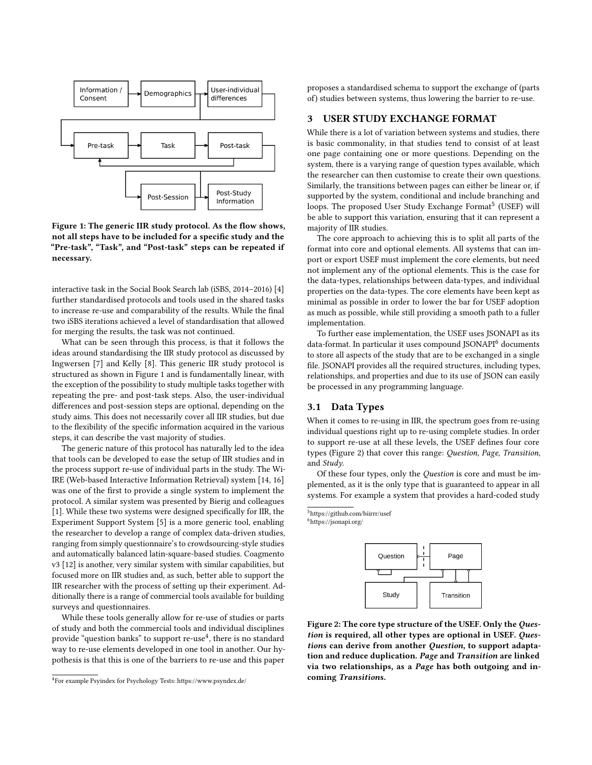<span id="page-1-0"></span>

Figure 1: The generic IIR study protocol. As the flow shows, not all steps have to be included for a specific study and the "Pre-task", "Task", and "Post-task" steps can be repeated if necessary.

interactive task in the Social Book Search lab (iSBS, 2014–2016) [\[4\]](#page-4-8) further standardised protocols and tools used in the shared tasks to increase re-use and comparability of the results. While the final two iSBS iterations achieved a level of standardisation that allowed for merging the results, the task was not continued.

What can be seen through this process, is that it follows the ideas around standardising the IIR study protocol as discussed by Ingwersen [\[7\]](#page-4-9) and Kelly [\[8\]](#page-4-10). This generic IIR study protocol is structured as shown in Figure [1](#page-1-0) and is fundamentally linear, with the exception of the possibility to study multiple tasks together with repeating the pre- and post-task steps. Also, the user-individual differences and post-session steps are optional, depending on the study aims. This does not necessarily cover all IIR studies, but due to the flexibility of the specific information acquired in the various steps, it can describe the vast majority of studies.

The generic nature of this protocol has naturally led to the idea that tools can be developed to ease the setup of IIR studies and in the process support re-use of individual parts in the study. The Wi-IRE (Web-based Interactive Information Retrieval) system [\[14,](#page-4-11) [16\]](#page-4-12) was one of the first to provide a single system to implement the protocol. A similar system was presented by Bierig and colleagues [\[1\]](#page-4-13). While these two systems were designed specifically for IIR, the Experiment Support System [\[5\]](#page-4-14) is a more generic tool, enabling the researcher to develop a range of complex data-driven studies, ranging from simply questionnaire's to crowdsourcing-style studies and automatically balanced latin-square-based studies. Coagmento v3 [\[12\]](#page-4-15) is another, very similar system with similar capabilities, but focused more on IIR studies and, as such, better able to support the IIR researcher with the process of setting up their experiment. Additionally there is a range of commercial tools available for building surveys and questionnaires.

While these tools generally allow for re-use of studies or parts of study and both the commercial tools and individual disciplines provide "question banks" to support re-use $\rm ^4$  $\rm ^4$ , there is no standard way to re-use elements developed in one tool in another. Our hypothesis is that this is one of the barriers to re-use and this paper proposes a standardised schema to support the exchange of (parts of) studies between systems, thus lowering the barrier to re-use.

#### 3 USER STUDY EXCHANGE FORMAT

While there is a lot of variation between systems and studies, there is basic commonality, in that studies tend to consist of at least one page containing one or more questions. Depending on the system, there is a varying range of question types available, which the researcher can then customise to create their own questions. Similarly, the transitions between pages can either be linear or, if supported by the system, conditional and include branching and loops. The proposed User Study Exchange Format<sup>[5](#page-1-2)</sup> (USEF) will be able to support this variation, ensuring that it can represent a majority of IIR studies.

The core approach to achieving this is to split all parts of the format into core and optional elements. All systems that can import or export USEF must implement the core elements, but need not implement any of the optional elements. This is the case for the data-types, relationships between data-types, and individual properties on the data-types. The core elements have been kept as minimal as possible in order to lower the bar for USEF adoption as much as possible, while still providing a smooth path to a fuller implementation.

To further ease implementation, the USEF uses JSONAPI as its data-format. In particular it uses compound JSONAPI<sup>[6](#page-1-3)</sup> documents to store all aspects of the study that are to be exchanged in a single file. JSONAPI provides all the required structures, including types, relationships, and properties and due to its use of JSON can easily be processed in any programming language.

#### 3.1 Data Types

When it comes to re-using in IIR, the spectrum goes from re-using individual questions right up to re-using complete studies. In order to support re-use at all these levels, the USEF defines four core types (Figure [2\)](#page-1-4) that cover this range: Question, Page, Transition, and Study.

Of these four types, only the Question is core and must be implemented, as it is the only type that is guaranteed to appear in all systems. For example a system that provides a hard-coded study

<span id="page-1-2"></span><sup>5</sup><https://github.com/biirrr/usef>

<span id="page-1-4"></span><span id="page-1-3"></span><sup>6</sup><https://jsonapi.org/>



Figure 2: The core type structure of the USEF. Only the Question is required, all other types are optional in USEF. Questions can derive from another Question, to support adaptation and reduce duplication. Page and Transition are linked via two relationships, as a Page has both outgoing and incoming Transitions.

<span id="page-1-1"></span><sup>4</sup> For example Psyindex for Psychology Tests:<https://www.psyndex.de/>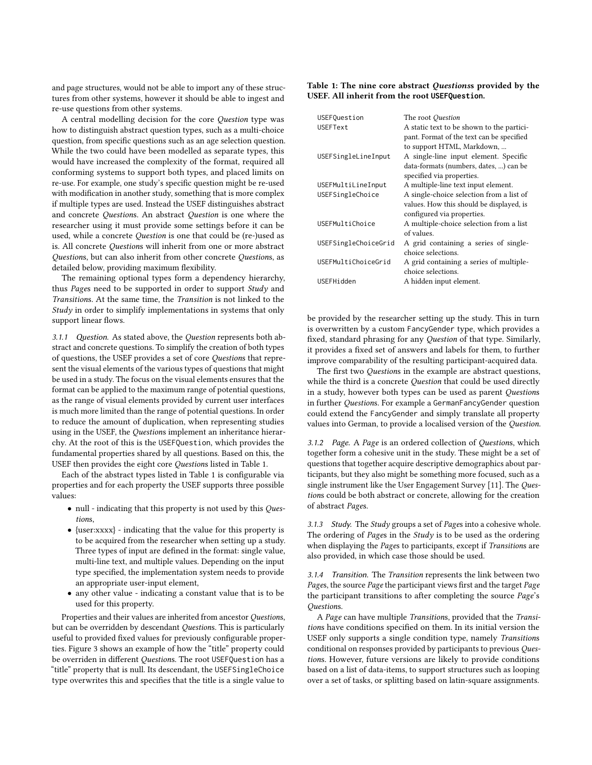and page structures, would not be able to import any of these structures from other systems, however it should be able to ingest and re-use questions from other systems.

A central modelling decision for the core Question type was how to distinguish abstract question types, such as a multi-choice question, from specific questions such as an age selection question. While the two could have been modelled as separate types, this would have increased the complexity of the format, required all conforming systems to support both types, and placed limits on re-use. For example, one study's specific question might be re-used with modification in another study, something that is more complex if multiple types are used. Instead the USEF distinguishes abstract and concrete Questions. An abstract Question is one where the researcher using it must provide some settings before it can be used, while a concrete Question is one that could be (re-)used as is. All concrete Questions will inherit from one or more abstract Questions, but can also inherit from other concrete Questions, as detailed below, providing maximum flexibility.

The remaining optional types form a dependency hierarchy, thus Pages need to be supported in order to support Study and Transitions. At the same time, the Transition is not linked to the Study in order to simplify implementations in systems that only support linear flows.

3.1.1 Question. As stated above, the Question represents both abstract and concrete questions. To simplify the creation of both types of questions, the USEF provides a set of core Questions that represent the visual elements of the various types of questions that might be used in a study. The focus on the visual elements ensures that the format can be applied to the maximum range of potential questions, as the range of visual elements provided by current user interfaces is much more limited than the range of potential questions. In order to reduce the amount of duplication, when representing studies using in the USEF, the Questions implement an inheritance hierarchy. At the root of this is the USEFQuestion, which provides the fundamental properties shared by all questions. Based on this, the USEF then provides the eight core Questions listed in Table [1.](#page-2-0)

Each of the abstract types listed in Table [1](#page-2-0) is configurable via properties and for each property the USEF supports three possible values:

- null indicating that this property is not used by this Questions,
- {user:xxxx} indicating that the value for this property is to be acquired from the researcher when setting up a study. Three types of input are defined in the format: single value, multi-line text, and multiple values. Depending on the input type specified, the implementation system needs to provide an appropriate user-input element,
- any other value indicating a constant value that is to be used for this property.

Properties and their values are inherited from ancestor Questions, but can be overridden by descendant Questions. This is particularly useful to provided fixed values for previously configurable properties. Figure [3](#page-3-0) shows an example of how the "title" property could be overriden in different Questions. The root USEFQuestion has a "title" property that is null. Its descendant, the USEFSingleChoice type overwrites this and specifies that the title is a single value to

#### <span id="page-2-0"></span>Table 1: The nine core abstract Questionss provided by the USEF. All inherit from the root **USEFQuestion**.

| USEFQuestion         | The root Question                                                                      |
|----------------------|----------------------------------------------------------------------------------------|
| <b>USEFText</b>      | A static text to be shown to the partici-<br>pant. Format of the text can be specified |
|                      | to support HTML, Markdown,                                                             |
| USEFSingleLineInput  | A single-line input element. Specific                                                  |
|                      | data-formats (numbers, dates, ) can be                                                 |
|                      | specified via properties.                                                              |
| USEFMultiLineInput   | A multiple-line text input element.                                                    |
| USEFSingleChoice     | A single-choice selection from a list of                                               |
|                      | values. How this should be displayed, is                                               |
|                      | configured via properties.                                                             |
| USEFMultiChoice      | A multiple-choice selection from a list                                                |
|                      | of values                                                                              |
| USEFSingleChoiceGrid | A grid containing a series of single-                                                  |
|                      | choice selections.                                                                     |
| USEFMultiChoiceGrid  | A grid containing a series of multiple-                                                |
|                      | choice selections.                                                                     |
| USEFHidden           | A hidden input element.                                                                |

be provided by the researcher setting up the study. This in turn is overwritten by a custom FancyGender type, which provides a fixed, standard phrasing for any Question of that type. Similarly, it provides a fixed set of answers and labels for them, to further improve comparability of the resulting participant-acquired data.

The first two Questions in the example are abstract questions, while the third is a concrete Question that could be used directly in a study, however both types can be used as parent Questions in further Questions. For example a GermanFancyGender question could extend the FancyGender and simply translate all property values into German, to provide a localised version of the Question.

3.1.2 Page. A Page is an ordered collection of Questions, which together form a cohesive unit in the study. These might be a set of questions that together acquire descriptive demographics about participants, but they also might be something more focused, such as a single instrument like the User Engagement Survey [\[11\]](#page-4-16). The Questions could be both abstract or concrete, allowing for the creation of abstract Pages.

3.1.3 Study. The Study groups a set of Pages into a cohesive whole. The ordering of Pages in the Study is to be used as the ordering when displaying the Pages to participants, except if Transitions are also provided, in which case those should be used.

3.1.4 Transition. The Transition represents the link between two Pages, the source Page the participant views first and the target Page the participant transitions to after completing the source Page's Questions.

A Page can have multiple Transitions, provided that the Transitions have conditions specified on them. In its initial version the USEF only supports a single condition type, namely Transitions conditional on responses provided by participants to previous Questions. However, future versions are likely to provide conditions based on a list of data-items, to support structures such as looping over a set of tasks, or splitting based on latin-square assignments.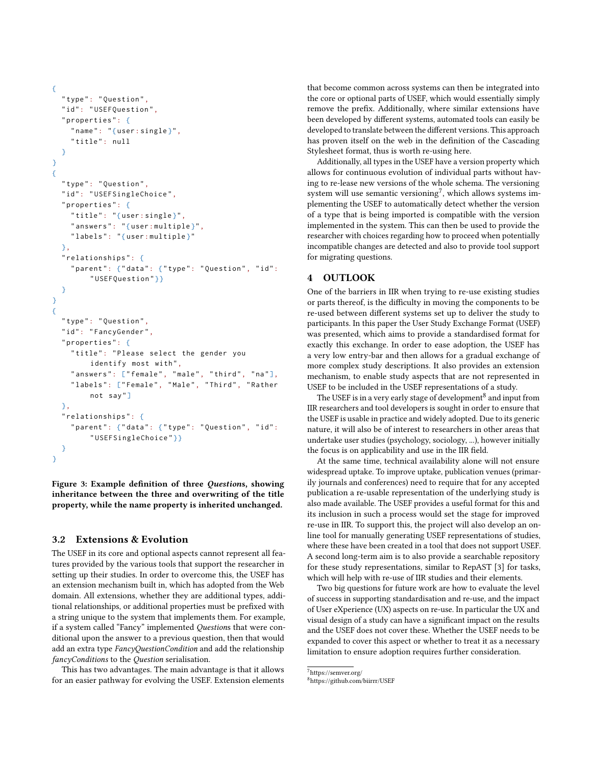```
{
  " type": "Question",
  "id": "USEFQuestion",
  " properties ": {
    "name" : "{user:single}",
    " title ": null
  }
}
{
  " type": "Question",
  " id ": " USEFSingleChoice ",
  " properties ": {
    "title": "{user:single}",
    " answers": "{user:multiple}",
    " labels": "{user: multiple}"
  },
  " relationships ": {
    " parent": {"data": {"type": "Question", "id":
         " USEFQuestion "}}
  }
}
{
  " type": "Question",
  "id": "FancyGender",
  " properties ": {
    " title ": " Please select the gender you
         identify most with",
    " answers": ["female", "male", "third", "na"],
    "labels": ["Female", "Male", "Third", "Rather
         not say "]
  },
  " relationships ": {
    " parent": {"data": {"type": "Question", "id":
         " USEFSingleChoice "}}
  }
}
```
Figure 3: Example definition of three Questions, showing inheritance between the three and overwriting of the title property, while the name property is inherited unchanged.

#### 3.2 Extensions & Evolution

The USEF in its core and optional aspects cannot represent all features provided by the various tools that support the researcher in setting up their studies. In order to overcome this, the USEF has an extension mechanism built in, which has adopted from the Web domain. All extensions, whether they are additional types, additional relationships, or additional properties must be prefixed with a string unique to the system that implements them. For example, if a system called "Fancy" implemented Questions that were conditional upon the answer to a previous question, then that would add an extra type FancyQuestionCondition and add the relationship fancyConditions to the Question serialisation.

This has two advantages. The main advantage is that it allows for an easier pathway for evolving the USEF. Extension elements that become common across systems can then be integrated into the core or optional parts of USEF, which would essentially simply remove the prefix. Additionally, where similar extensions have been developed by different systems, automated tools can easily be developed to translate between the different versions. This approach has proven itself on the web in the definition of the Cascading Stylesheet format, thus is worth re-using here.

Additionally, all types in the USEF have a version property which allows for continuous evolution of individual parts without having to re-lease new versions of the whole schema. The versioning system will use semantic versioning<sup>[7](#page-3-1)</sup>, which allows systems implementing the USEF to automatically detect whether the version of a type that is being imported is compatible with the version implemented in the system. This can then be used to provide the researcher with choices regarding how to proceed when potentially incompatible changes are detected and also to provide tool support for migrating questions.

#### 4 OUTLOOK

One of the barriers in IIR when trying to re-use existing studies or parts thereof, is the difficulty in moving the components to be re-used between different systems set up to deliver the study to participants. In this paper the User Study Exchange Format (USEF) was presented, which aims to provide a standardised format for exactly this exchange. In order to ease adoption, the USEF has a very low entry-bar and then allows for a gradual exchange of more complex study descriptions. It also provides an extension mechanism, to enable study aspects that are not represented in USEF to be included in the USEF representations of a study.

The USEF is in a very early stage of development $^8$  $^8$  and input from IIR researchers and tool developers is sought in order to ensure that the USEF is usable in practice and widely adopted. Due to its generic nature, it will also be of interest to researchers in other areas that undertake user studies (psychology, sociology, ...), however initially the focus is on applicability and use in the IIR field.

At the same time, technical availability alone will not ensure widespread uptake. To improve uptake, publication venues (primarily journals and conferences) need to require that for any accepted publication a re-usable representation of the underlying study is also made available. The USEF provides a useful format for this and its inclusion in such a process would set the stage for improved re-use in IIR. To support this, the project will also develop an online tool for manually generating USEF representations of studies, where these have been created in a tool that does not support USEF. A second long-term aim is to also provide a searchable repository for these study representations, similar to RepAST [\[3\]](#page-4-17) for tasks, which will help with re-use of IIR studies and their elements.

Two big questions for future work are how to evaluate the level of success in supporting standardisation and re-use, and the impact of User eXperience (UX) aspects on re-use. In particular the UX and visual design of a study can have a significant impact on the results and the USEF does not cover these. Whether the USEF needs to be expanded to cover this aspect or whether to treat it as a necessary limitation to ensure adoption requires further consideration.

<span id="page-3-1"></span><sup>7</sup><https://semver.org/>

<span id="page-3-2"></span><sup>8</sup><https://github.com/biirrr/USEF>